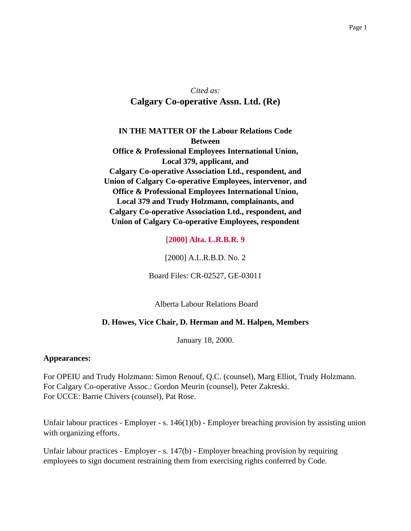# *Cited as:* **Calgary Co-operative Assn. Ltd. (Re)**

**IN THE MATTER OF the Labour Relations Code Between Office & Professional Employees International Union, Local 379, applicant, and Calgary Co-operative Association Ltd., respondent, and Union of Calgary Co-operative Employees, intervenor, and Office & Professional Employees International Union, Local 379 and Trudy Holzmann, complainants, and Calgary Co-operative Association Ltd., respondent, and Union of Calgary Co-operative Employees, respondent**

[**2000] Alta. L.R.B.R. 9**

[2000] A.L.R.B.D. No. 2

Board Files: CR-02527, GE-03011

Alberta Labour Relations Board

# **D. Howes, Vice Chair, D. Herman and M. Halpen, Members**

January 18, 2000.

#### **Appearances:**

For OPEIU and Trudy Holzmann: Simon Renouf, Q.C. (counsel), Marg Elliot, Trudy Holzmann. For Calgary Co-operative Assoc.: Gordon Meurin (counsel), Peter Zakreski. For UCCE: Barrie Chivers (counsel), Pat Rose.

Unfair labour practices - Employer - s. 146(1)(b) - Employer breaching provision by assisting union with organizing efforts.

Unfair labour practices - Employer - s. 147(b) - Employer breaching provision by requiring employees to sign document restraining them from exercising rights conferred by Code.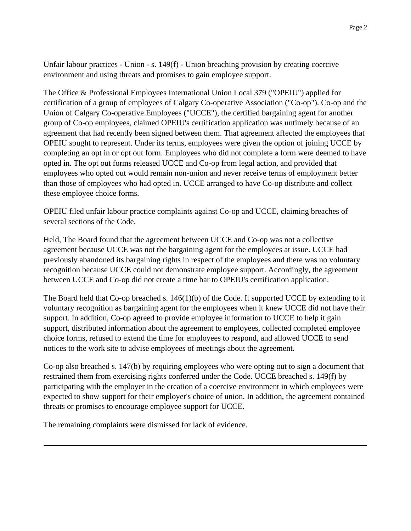Unfair labour practices - Union - s. 149(f) - Union breaching provision by creating coercive environment and using threats and promises to gain employee support.

The Office & Professional Employees International Union Local 379 ("OPEIU") applied for certification of a group of employees of Calgary Co-operative Association ("Co-op"). Co-op and the Union of Calgary Co-operative Employees ("UCCE"), the certified bargaining agent for another group of Co-op employees, claimed OPEIU's certification application was untimely because of an agreement that had recently been signed between them. That agreement affected the employees that OPEIU sought to represent. Under its terms, employees were given the option of joining UCCE by completing an opt in or opt out form. Employees who did not complete a form were deemed to have opted in. The opt out forms released UCCE and Co-op from legal action, and provided that employees who opted out would remain non-union and never receive terms of employment better than those of employees who had opted in. UCCE arranged to have Co-op distribute and collect these employee choice forms.

OPEIU filed unfair labour practice complaints against Co-op and UCCE, claiming breaches of several sections of the Code.

Held, The Board found that the agreement between UCCE and Co-op was not a collective agreement because UCCE was not the bargaining agent for the employees at issue. UCCE had previously abandoned its bargaining rights in respect of the employees and there was no voluntary recognition because UCCE could not demonstrate employee support. Accordingly, the agreement between UCCE and Co-op did not create a time bar to OPEIU's certification application.

The Board held that Co-op breached s. 146(1)(b) of the Code. It supported UCCE by extending to it voluntary recognition as bargaining agent for the employees when it knew UCCE did not have their support. In addition, Co-op agreed to provide employee information to UCCE to help it gain support, distributed information about the agreement to employees, collected completed employee choice forms, refused to extend the time for employees to respond, and allowed UCCE to send notices to the work site to advise employees of meetings about the agreement.

Co-op also breached s. 147(b) by requiring employees who were opting out to sign a document that restrained them from exercising rights conferred under the Code. UCCE breached s. 149(f) by participating with the employer in the creation of a coercive environment in which employees were expected to show support for their employer's choice of union. In addition, the agreement contained threats or promises to encourage employee support for UCCE.

The remaining complaints were dismissed for lack of evidence.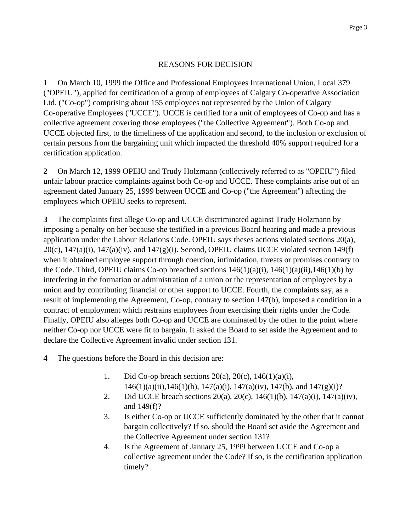### REASONS FOR DECISION

**1** On March 10, 1999 the Office and Professional Employees International Union, Local 379 ("OPEIU"), applied for certification of a group of employees of Calgary Co-operative Association Ltd. ("Co-op") comprising about 155 employees not represented by the Union of Calgary Co-operative Employees ("UCCE"). UCCE is certified for a unit of employees of Co-op and has a collective agreement covering those employees ("the Collective Agreement"). Both Co-op and UCCE objected first, to the timeliness of the application and second, to the inclusion or exclusion of certain persons from the bargaining unit which impacted the threshold 40% support required for a certification application.

**2** On March 12, 1999 OPEIU and Trudy Holzmann (collectively referred to as "OPEIU") filed unfair labour practice complaints against both Co-op and UCCE. These complaints arise out of an agreement dated January 25, 1999 between UCCE and Co-op ("the Agreement") affecting the employees which OPEIU seeks to represent.

**3** The complaints first allege Co-op and UCCE discriminated against Trudy Holzmann by imposing a penalty on her because she testified in a previous Board hearing and made a previous application under the Labour Relations Code. OPEIU says theses actions violated sections 20(a),  $20(c)$ , 147(a)(i), 147(a)(iv), and 147(g)(i). Second, OPEIU claims UCCE violated section 149(f) when it obtained employee support through coercion, intimidation, threats or promises contrary to the Code. Third, OPEIU claims Co-op breached sections  $146(1)(a)(i)$ ,  $146(1)(a)(ii)$ ,  $146(1)(b)$  by interfering in the formation or administration of a union or the representation of employees by a union and by contributing financial or other support to UCCE. Fourth, the complaints say, as a result of implementing the Agreement, Co-op, contrary to section 147(b), imposed a condition in a contract of employment which restrains employees from exercising their rights under the Code. Finally, OPEIU also alleges both Co-op and UCCE are dominated by the other to the point where neither Co-op nor UCCE were fit to bargain. It asked the Board to set aside the Agreement and to declare the Collective Agreement invalid under section 131.

- **4** The questions before the Board in this decision are:
	- 1. Did Co-op breach sections  $20(a)$ ,  $20(c)$ ,  $146(1)(a)(i)$ ,  $146(1)(a)(ii)$ ,  $146(1)(b)$ ,  $147(a)(i)$ ,  $147(a)(iv)$ ,  $147(b)$ , and  $147(g)(i)$ ?
	- 2. Did UCCE breach sections 20(a), 20(c), 146(1)(b), 147(a)(i), 147(a)(iv), and 149(f)?
	- 3. Is either Co-op or UCCE sufficiently dominated by the other that it cannot bargain collectively? If so, should the Board set aside the Agreement and the Collective Agreement under section 131?
	- 4. Is the Agreement of January 25, 1999 between UCCE and Co-op a collective agreement under the Code? If so, is the certification application timely?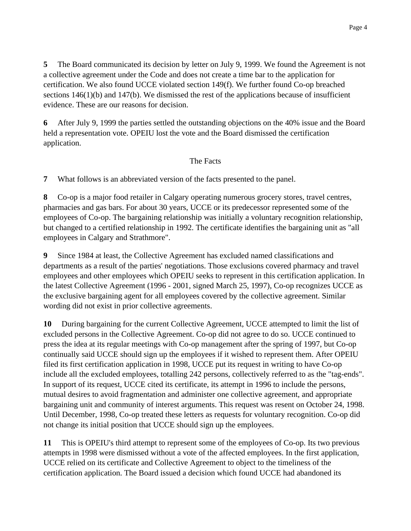**5** The Board communicated its decision by letter on July 9, 1999. We found the Agreement is not a collective agreement under the Code and does not create a time bar to the application for certification. We also found UCCE violated section 149(f). We further found Co-op breached sections  $146(1)(b)$  and  $147(b)$ . We dismissed the rest of the applications because of insufficient evidence. These are our reasons for decision.

**6** After July 9, 1999 the parties settled the outstanding objections on the 40% issue and the Board held a representation vote. OPEIU lost the vote and the Board dismissed the certification application.

# The Facts

**7** What follows is an abbreviated version of the facts presented to the panel.

**8** Co-op is a major food retailer in Calgary operating numerous grocery stores, travel centres, pharmacies and gas bars. For about 30 years, UCCE or its predecessor represented some of the employees of Co-op. The bargaining relationship was initially a voluntary recognition relationship, but changed to a certified relationship in 1992. The certificate identifies the bargaining unit as "all employees in Calgary and Strathmore".

**9** Since 1984 at least, the Collective Agreement has excluded named classifications and departments as a result of the parties' negotiations. Those exclusions covered pharmacy and travel employees and other employees which OPEIU seeks to represent in this certification application. In the latest Collective Agreement (1996 - 2001, signed March 25, 1997), Co-op recognizes UCCE as the exclusive bargaining agent for all employees covered by the collective agreement. Similar wording did not exist in prior collective agreements.

**10** During bargaining for the current Collective Agreement, UCCE attempted to limit the list of excluded persons in the Collective Agreement. Co-op did not agree to do so. UCCE continued to press the idea at its regular meetings with Co-op management after the spring of 1997, but Co-op continually said UCCE should sign up the employees if it wished to represent them. After OPEIU filed its first certification application in 1998, UCCE put its request in writing to have Co-op include all the excluded employees, totalling 242 persons, collectively referred to as the "tag-ends". In support of its request, UCCE cited its certificate, its attempt in 1996 to include the persons, mutual desires to avoid fragmentation and administer one collective agreement, and appropriate bargaining unit and community of interest arguments. This request was resent on October 24, 1998. Until December, 1998, Co-op treated these letters as requests for voluntary recognition. Co-op did not change its initial position that UCCE should sign up the employees.

**11** This is OPEIU's third attempt to represent some of the employees of Co-op. Its two previous attempts in 1998 were dismissed without a vote of the affected employees. In the first application, UCCE relied on its certificate and Collective Agreement to object to the timeliness of the certification application. The Board issued a decision which found UCCE had abandoned its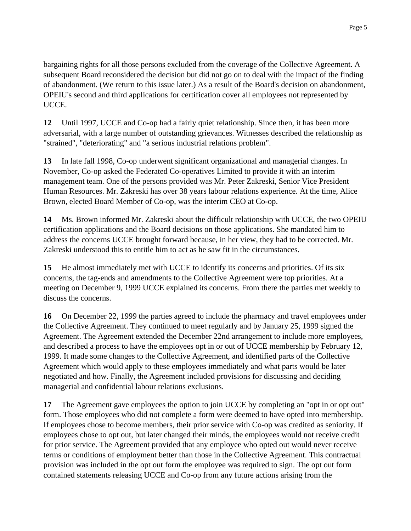bargaining rights for all those persons excluded from the coverage of the Collective Agreement. A subsequent Board reconsidered the decision but did not go on to deal with the impact of the finding of abandonment. (We return to this issue later.) As a result of the Board's decision on abandonment, OPEIU's second and third applications for certification cover all employees not represented by UCCE.

**12** Until 1997, UCCE and Co-op had a fairly quiet relationship. Since then, it has been more adversarial, with a large number of outstanding grievances. Witnesses described the relationship as "strained", "deteriorating" and "a serious industrial relations problem".

**13** In late fall 1998, Co-op underwent significant organizational and managerial changes. In November, Co-op asked the Federated Co-operatives Limited to provide it with an interim management team. One of the persons provided was Mr. Peter Zakreski, Senior Vice President Human Resources. Mr. Zakreski has over 38 years labour relations experience. At the time, Alice Brown, elected Board Member of Co-op, was the interim CEO at Co-op.

**14** Ms. Brown informed Mr. Zakreski about the difficult relationship with UCCE, the two OPEIU certification applications and the Board decisions on those applications. She mandated him to address the concerns UCCE brought forward because, in her view, they had to be corrected. Mr. Zakreski understood this to entitle him to act as he saw fit in the circumstances.

**15** He almost immediately met with UCCE to identify its concerns and priorities. Of its six concerns, the tag-ends and amendments to the Collective Agreement were top priorities. At a meeting on December 9, 1999 UCCE explained its concerns. From there the parties met weekly to discuss the concerns.

**16** On December 22, 1999 the parties agreed to include the pharmacy and travel employees under the Collective Agreement. They continued to meet regularly and by January 25, 1999 signed the Agreement. The Agreement extended the December 22nd arrangement to include more employees, and described a process to have the employees opt in or out of UCCE membership by February 12, 1999. It made some changes to the Collective Agreement, and identified parts of the Collective Agreement which would apply to these employees immediately and what parts would be later negotiated and how. Finally, the Agreement included provisions for discussing and deciding managerial and confidential labour relations exclusions.

**17** The Agreement gave employees the option to join UCCE by completing an "opt in or opt out" form. Those employees who did not complete a form were deemed to have opted into membership. If employees chose to become members, their prior service with Co-op was credited as seniority. If employees chose to opt out, but later changed their minds, the employees would not receive credit for prior service. The Agreement provided that any employee who opted out would never receive terms or conditions of employment better than those in the Collective Agreement. This contractual provision was included in the opt out form the employee was required to sign. The opt out form contained statements releasing UCCE and Co-op from any future actions arising from the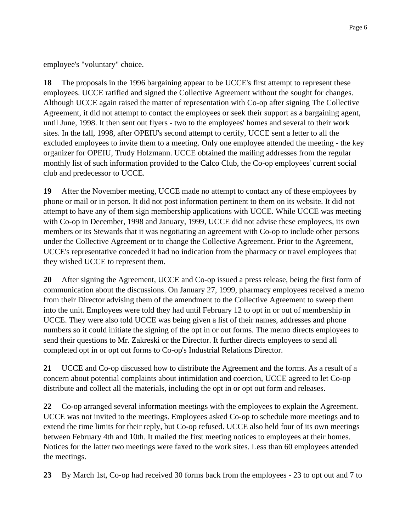employee's "voluntary" choice.

**18** The proposals in the 1996 bargaining appear to be UCCE's first attempt to represent these employees. UCCE ratified and signed the Collective Agreement without the sought for changes. Although UCCE again raised the matter of representation with Co-op after signing The Collective Agreement, it did not attempt to contact the employees or seek their support as a bargaining agent, until June, 1998. It then sent out flyers - two to the employees' homes and several to their work sites. In the fall, 1998, after OPEIU's second attempt to certify, UCCE sent a letter to all the excluded employees to invite them to a meeting. Only one employee attended the meeting - the key organizer for OPEIU, Trudy Holzmann. UCCE obtained the mailing addresses from the regular monthly list of such information provided to the Calco Club, the Co-op employees' current social club and predecessor to UCCE.

**19** After the November meeting, UCCE made no attempt to contact any of these employees by phone or mail or in person. It did not post information pertinent to them on its website. It did not attempt to have any of them sign membership applications with UCCE. While UCCE was meeting with Co-op in December, 1998 and January, 1999, UCCE did not advise these employees, its own members or its Stewards that it was negotiating an agreement with Co-op to include other persons under the Collective Agreement or to change the Collective Agreement. Prior to the Agreement, UCCE's representative conceded it had no indication from the pharmacy or travel employees that they wished UCCE to represent them.

**20** After signing the Agreement, UCCE and Co-op issued a press release, being the first form of communication about the discussions. On January 27, 1999, pharmacy employees received a memo from their Director advising them of the amendment to the Collective Agreement to sweep them into the unit. Employees were told they had until February 12 to opt in or out of membership in UCCE. They were also told UCCE was being given a list of their names, addresses and phone numbers so it could initiate the signing of the opt in or out forms. The memo directs employees to send their questions to Mr. Zakreski or the Director. It further directs employees to send all completed opt in or opt out forms to Co-op's Industrial Relations Director.

**21** UCCE and Co-op discussed how to distribute the Agreement and the forms. As a result of a concern about potential complaints about intimidation and coercion, UCCE agreed to let Co-op distribute and collect all the materials, including the opt in or opt out form and releases.

**22** Co-op arranged several information meetings with the employees to explain the Agreement. UCCE was not invited to the meetings. Employees asked Co-op to schedule more meetings and to extend the time limits for their reply, but Co-op refused. UCCE also held four of its own meetings between February 4th and 10th. It mailed the first meeting notices to employees at their homes. Notices for the latter two meetings were faxed to the work sites. Less than 60 employees attended the meetings.

**23** By March 1st, Co-op had received 30 forms back from the employees - 23 to opt out and 7 to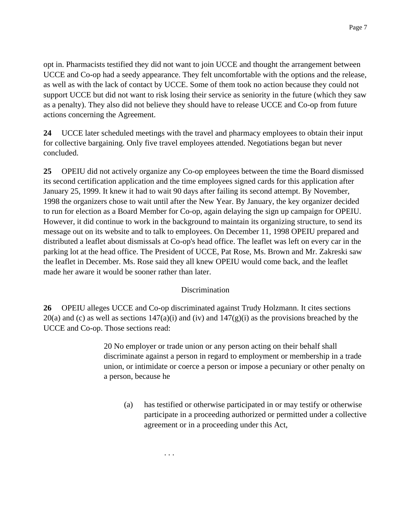opt in. Pharmacists testified they did not want to join UCCE and thought the arrangement between UCCE and Co-op had a seedy appearance. They felt uncomfortable with the options and the release, as well as with the lack of contact by UCCE. Some of them took no action because they could not support UCCE but did not want to risk losing their service as seniority in the future (which they saw as a penalty). They also did not believe they should have to release UCCE and Co-op from future actions concerning the Agreement.

**24** UCCE later scheduled meetings with the travel and pharmacy employees to obtain their input for collective bargaining. Only five travel employees attended. Negotiations began but never concluded.

**25** OPEIU did not actively organize any Co-op employees between the time the Board dismissed its second certification application and the time employees signed cards for this application after January 25, 1999. It knew it had to wait 90 days after failing its second attempt. By November, 1998 the organizers chose to wait until after the New Year. By January, the key organizer decided to run for election as a Board Member for Co-op, again delaying the sign up campaign for OPEIU. However, it did continue to work in the background to maintain its organizing structure, to send its message out on its website and to talk to employees. On December 11, 1998 OPEIU prepared and distributed a leaflet about dismissals at Co-op's head office. The leaflet was left on every car in the parking lot at the head office. The President of UCCE, Pat Rose, Ms. Brown and Mr. Zakreski saw the leaflet in December. Ms. Rose said they all knew OPEIU would come back, and the leaflet made her aware it would be sooner rather than later.

# Discrimination

**26** OPEIU alleges UCCE and Co-op discriminated against Trudy Holzmann. It cites sections  $20(a)$  and (c) as well as sections  $147(a)(i)$  and (iv) and  $147(g)(i)$  as the provisions breached by the UCCE and Co-op. Those sections read:

> 20 No employer or trade union or any person acting on their behalf shall discriminate against a person in regard to employment or membership in a trade union, or intimidate or coerce a person or impose a pecuniary or other penalty on a person, because he

(a) has testified or otherwise participated in or may testify or otherwise participate in a proceeding authorized or permitted under a collective agreement or in a proceeding under this Act,

. . .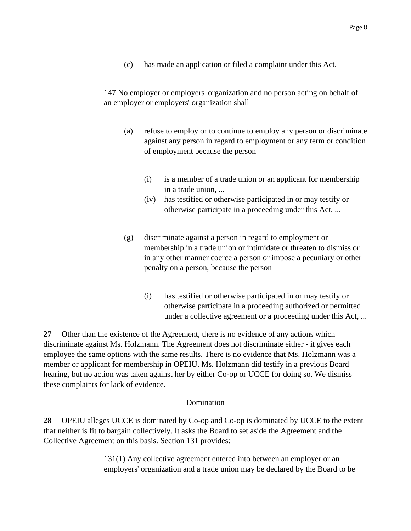(c) has made an application or filed a complaint under this Act.

147 No employer or employers' organization and no person acting on behalf of an employer or employers' organization shall

- (a) refuse to employ or to continue to employ any person or discriminate against any person in regard to employment or any term or condition of employment because the person
	- (i) is a member of a trade union or an applicant for membership in a trade union, ...
	- (iv) has testified or otherwise participated in or may testify or otherwise participate in a proceeding under this Act, ...
- (g) discriminate against a person in regard to employment or membership in a trade union or intimidate or threaten to dismiss or in any other manner coerce a person or impose a pecuniary or other penalty on a person, because the person
	- (i) has testified or otherwise participated in or may testify or otherwise participate in a proceeding authorized or permitted under a collective agreement or a proceeding under this Act, ...

**27** Other than the existence of the Agreement, there is no evidence of any actions which discriminate against Ms. Holzmann. The Agreement does not discriminate either - it gives each employee the same options with the same results. There is no evidence that Ms. Holzmann was a member or applicant for membership in OPEIU. Ms. Holzmann did testify in a previous Board hearing, but no action was taken against her by either Co-op or UCCE for doing so. We dismiss these complaints for lack of evidence.

#### Domination

**28** OPEIU alleges UCCE is dominated by Co-op and Co-op is dominated by UCCE to the extent that neither is fit to bargain collectively. It asks the Board to set aside the Agreement and the Collective Agreement on this basis. Section 131 provides:

> 131(1) Any collective agreement entered into between an employer or an employers' organization and a trade union may be declared by the Board to be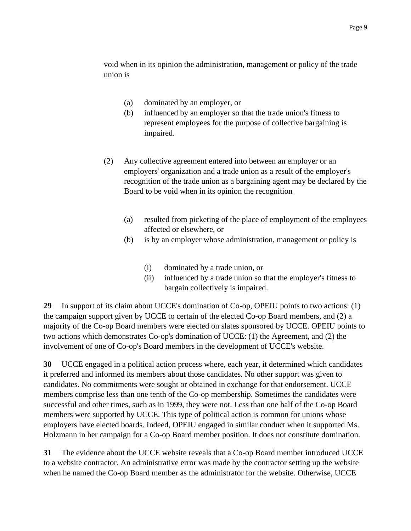void when in its opinion the administration, management or policy of the trade union is

- (a) dominated by an employer, or
- (b) influenced by an employer so that the trade union's fitness to represent employees for the purpose of collective bargaining is impaired.
- (2) Any collective agreement entered into between an employer or an employers' organization and a trade union as a result of the employer's recognition of the trade union as a bargaining agent may be declared by the Board to be void when in its opinion the recognition
	- (a) resulted from picketing of the place of employment of the employees affected or elsewhere, or
	- (b) is by an employer whose administration, management or policy is
		- (i) dominated by a trade union, or
		- (ii) influenced by a trade union so that the employer's fitness to bargain collectively is impaired.

**29** In support of its claim about UCCE's domination of Co-op, OPEIU points to two actions: (1) the campaign support given by UCCE to certain of the elected Co-op Board members, and (2) a majority of the Co-op Board members were elected on slates sponsored by UCCE. OPEIU points to two actions which demonstrates Co-op's domination of UCCE: (1) the Agreement, and (2) the involvement of one of Co-op's Board members in the development of UCCE's website.

**30** UCCE engaged in a political action process where, each year, it determined which candidates it preferred and informed its members about those candidates. No other support was given to candidates. No commitments were sought or obtained in exchange for that endorsement. UCCE members comprise less than one tenth of the Co-op membership. Sometimes the candidates were successful and other times, such as in 1999, they were not. Less than one half of the Co-op Board members were supported by UCCE. This type of political action is common for unions whose employers have elected boards. Indeed, OPEIU engaged in similar conduct when it supported Ms. Holzmann in her campaign for a Co-op Board member position. It does not constitute domination.

**31** The evidence about the UCCE website reveals that a Co-op Board member introduced UCCE to a website contractor. An administrative error was made by the contractor setting up the website when he named the Co-op Board member as the administrator for the website. Otherwise, UCCE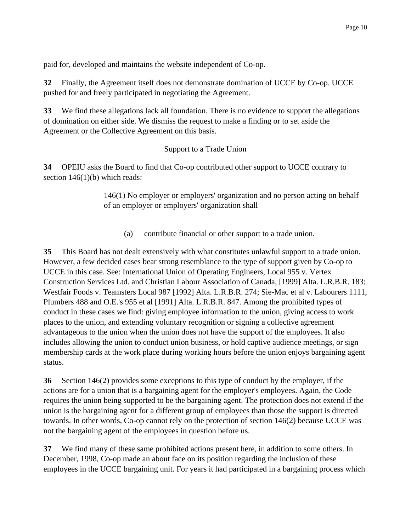paid for, developed and maintains the website independent of Co-op.

**32** Finally, the Agreement itself does not demonstrate domination of UCCE by Co-op. UCCE pushed for and freely participated in negotiating the Agreement.

**33** We find these allegations lack all foundation. There is no evidence to support the allegations of domination on either side. We dismiss the request to make a finding or to set aside the Agreement or the Collective Agreement on this basis.

# Support to a Trade Union

**34** OPEIU asks the Board to find that Co-op contributed other support to UCCE contrary to section  $146(1)(b)$  which reads:

> 146(1) No employer or employers' organization and no person acting on behalf of an employer or employers' organization shall

(a) contribute financial or other support to a trade union.

**35** This Board has not dealt extensively with what constitutes unlawful support to a trade union. However, a few decided cases bear strong resemblance to the type of support given by Co-op to UCCE in this case. See: International Union of Operating Engineers, Local 955 v. Vertex Construction Services Ltd. and Christian Labour Association of Canada, [1999] Alta. L.R.B.R. 183; Westfair Foods v. Teamsters Local 987 [1992] Alta. L.R.B.R. 274; Sie-Mac et al v. Labourers 1111, Plumbers 488 and O.E.'s 955 et al [1991] Alta. L.R.B.R. 847. Among the prohibited types of conduct in these cases we find: giving employee information to the union, giving access to work places to the union, and extending voluntary recognition or signing a collective agreement advantageous to the union when the union does not have the support of the employees. It also includes allowing the union to conduct union business, or hold captive audience meetings, or sign membership cards at the work place during working hours before the union enjoys bargaining agent status.

**36** Section 146(2) provides some exceptions to this type of conduct by the employer, if the actions are for a union that is a bargaining agent for the employer's employees. Again, the Code requires the union being supported to be the bargaining agent. The protection does not extend if the union is the bargaining agent for a different group of employees than those the support is directed towards. In other words, Co-op cannot rely on the protection of section 146(2) because UCCE was not the bargaining agent of the employees in question before us.

**37** We find many of these same prohibited actions present here, in addition to some others. In December, 1998, Co-op made an about face on its position regarding the inclusion of these employees in the UCCE bargaining unit. For years it had participated in a bargaining process which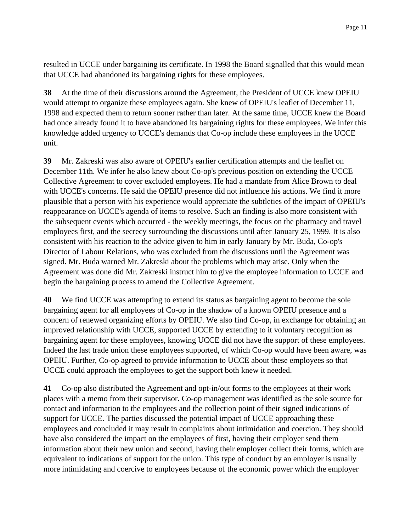resulted in UCCE under bargaining its certificate. In 1998 the Board signalled that this would mean that UCCE had abandoned its bargaining rights for these employees.

**38** At the time of their discussions around the Agreement, the President of UCCE knew OPEIU would attempt to organize these employees again. She knew of OPEIU's leaflet of December 11, 1998 and expected them to return sooner rather than later. At the same time, UCCE knew the Board had once already found it to have abandoned its bargaining rights for these employees. We infer this knowledge added urgency to UCCE's demands that Co-op include these employees in the UCCE unit.

**39** Mr. Zakreski was also aware of OPEIU's earlier certification attempts and the leaflet on December 11th. We infer he also knew about Co-op's previous position on extending the UCCE Collective Agreement to cover excluded employees. He had a mandate from Alice Brown to deal with UCCE's concerns. He said the OPEIU presence did not influence his actions. We find it more plausible that a person with his experience would appreciate the subtleties of the impact of OPEIU's reappearance on UCCE's agenda of items to resolve. Such an finding is also more consistent with the subsequent events which occurred - the weekly meetings, the focus on the pharmacy and travel employees first, and the secrecy surrounding the discussions until after January 25, 1999. It is also consistent with his reaction to the advice given to him in early January by Mr. Buda, Co-op's Director of Labour Relations, who was excluded from the discussions until the Agreement was signed. Mr. Buda warned Mr. Zakreski about the problems which may arise. Only when the Agreement was done did Mr. Zakreski instruct him to give the employee information to UCCE and begin the bargaining process to amend the Collective Agreement.

**40** We find UCCE was attempting to extend its status as bargaining agent to become the sole bargaining agent for all employees of Co-op in the shadow of a known OPEIU presence and a concern of renewed organizing efforts by OPEIU. We also find Co-op, in exchange for obtaining an improved relationship with UCCE, supported UCCE by extending to it voluntary recognition as bargaining agent for these employees, knowing UCCE did not have the support of these employees. Indeed the last trade union these employees supported, of which Co-op would have been aware, was OPEIU. Further, Co-op agreed to provide information to UCCE about these employees so that UCCE could approach the employees to get the support both knew it needed.

**41** Co-op also distributed the Agreement and opt-in/out forms to the employees at their work places with a memo from their supervisor. Co-op management was identified as the sole source for contact and information to the employees and the collection point of their signed indications of support for UCCE. The parties discussed the potential impact of UCCE approaching these employees and concluded it may result in complaints about intimidation and coercion. They should have also considered the impact on the employees of first, having their employer send them information about their new union and second, having their employer collect their forms, which are equivalent to indications of support for the union. This type of conduct by an employer is usually more intimidating and coercive to employees because of the economic power which the employer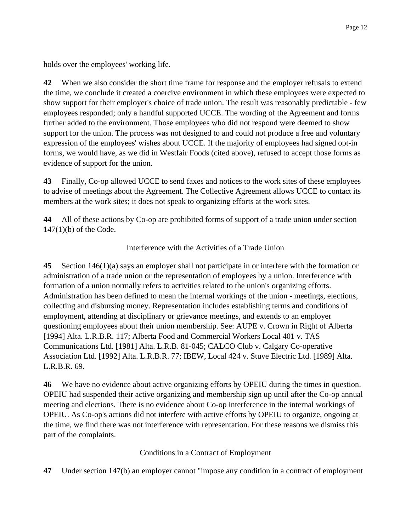holds over the employees' working life.

**42** When we also consider the short time frame for response and the employer refusals to extend the time, we conclude it created a coercive environment in which these employees were expected to show support for their employer's choice of trade union. The result was reasonably predictable - few employees responded; only a handful supported UCCE. The wording of the Agreement and forms further added to the environment. Those employees who did not respond were deemed to show support for the union. The process was not designed to and could not produce a free and voluntary expression of the employees' wishes about UCCE. If the majority of employees had signed opt-in forms, we would have, as we did in Westfair Foods (cited above), refused to accept those forms as evidence of support for the union.

**43** Finally, Co-op allowed UCCE to send faxes and notices to the work sites of these employees to advise of meetings about the Agreement. The Collective Agreement allows UCCE to contact its members at the work sites; it does not speak to organizing efforts at the work sites.

**44** All of these actions by Co-op are prohibited forms of support of a trade union under section 147(1)(b) of the Code.

### Interference with the Activities of a Trade Union

**45** Section 146(1)(a) says an employer shall not participate in or interfere with the formation or administration of a trade union or the representation of employees by a union. Interference with formation of a union normally refers to activities related to the union's organizing efforts. Administration has been defined to mean the internal workings of the union - meetings, elections, collecting and disbursing money. Representation includes establishing terms and conditions of employment, attending at disciplinary or grievance meetings, and extends to an employer questioning employees about their union membership. See: AUPE v. Crown in Right of Alberta [1994] Alta. L.R.B.R. 117; Alberta Food and Commercial Workers Local 401 v. TAS Communications Ltd. [1981] Alta. L.R.B. 81-045; CALCO Club v. Calgary Co-operative Association Ltd. [1992] Alta. L.R.B.R. 77; IBEW, Local 424 v. Stuve Electric Ltd. [1989] Alta. L.R.B.R. 69.

**46** We have no evidence about active organizing efforts by OPEIU during the times in question. OPEIU had suspended their active organizing and membership sign up until after the Co-op annual meeting and elections. There is no evidence about Co-op interference in the internal workings of OPEIU. As Co-op's actions did not interfere with active efforts by OPEIU to organize, ongoing at the time, we find there was not interference with representation. For these reasons we dismiss this part of the complaints.

#### Conditions in a Contract of Employment

**47** Under section 147(b) an employer cannot "impose any condition in a contract of employment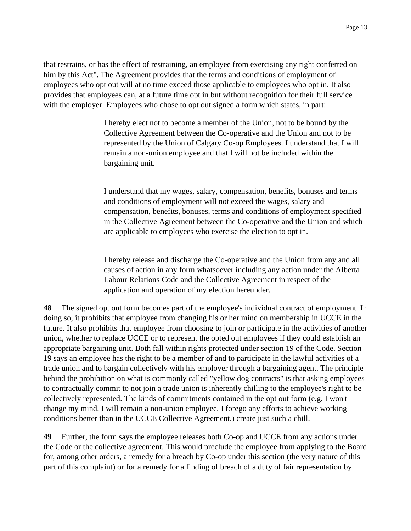that restrains, or has the effect of restraining, an employee from exercising any right conferred on him by this Act". The Agreement provides that the terms and conditions of employment of employees who opt out will at no time exceed those applicable to employees who opt in. It also provides that employees can, at a future time opt in but without recognition for their full service with the employer. Employees who chose to opt out signed a form which states, in part:

> I hereby elect not to become a member of the Union, not to be bound by the Collective Agreement between the Co-operative and the Union and not to be represented by the Union of Calgary Co-op Employees. I understand that I will remain a non-union employee and that I will not be included within the bargaining unit.

I understand that my wages, salary, compensation, benefits, bonuses and terms and conditions of employment will not exceed the wages, salary and compensation, benefits, bonuses, terms and conditions of employment specified in the Collective Agreement between the Co-operative and the Union and which are applicable to employees who exercise the election to opt in.

I hereby release and discharge the Co-operative and the Union from any and all causes of action in any form whatsoever including any action under the Alberta Labour Relations Code and the Collective Agreement in respect of the application and operation of my election hereunder.

**48** The signed opt out form becomes part of the employee's individual contract of employment. In doing so, it prohibits that employee from changing his or her mind on membership in UCCE in the future. It also prohibits that employee from choosing to join or participate in the activities of another union, whether to replace UCCE or to represent the opted out employees if they could establish an appropriate bargaining unit. Both fall within rights protected under section 19 of the Code. Section 19 says an employee has the right to be a member of and to participate in the lawful activities of a trade union and to bargain collectively with his employer through a bargaining agent. The principle behind the prohibition on what is commonly called "yellow dog contracts" is that asking employees to contractually commit to not join a trade union is inherently chilling to the employee's right to be collectively represented. The kinds of commitments contained in the opt out form (e.g. I won't change my mind. I will remain a non-union employee. I forego any efforts to achieve working conditions better than in the UCCE Collective Agreement.) create just such a chill.

**49** Further, the form says the employee releases both Co-op and UCCE from any actions under the Code or the collective agreement. This would preclude the employee from applying to the Board for, among other orders, a remedy for a breach by Co-op under this section (the very nature of this part of this complaint) or for a remedy for a finding of breach of a duty of fair representation by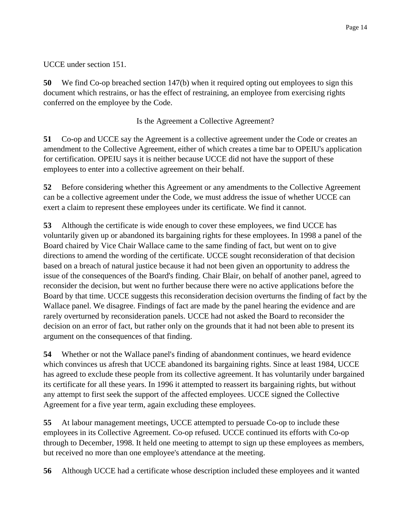UCCE under section 151.

**50** We find Co-op breached section 147(b) when it required opting out employees to sign this document which restrains, or has the effect of restraining, an employee from exercising rights conferred on the employee by the Code.

Is the Agreement a Collective Agreement?

**51** Co-op and UCCE say the Agreement is a collective agreement under the Code or creates an amendment to the Collective Agreement, either of which creates a time bar to OPEIU's application for certification. OPEIU says it is neither because UCCE did not have the support of these employees to enter into a collective agreement on their behalf.

**52** Before considering whether this Agreement or any amendments to the Collective Agreement can be a collective agreement under the Code, we must address the issue of whether UCCE can exert a claim to represent these employees under its certificate. We find it cannot.

**53** Although the certificate is wide enough to cover these employees, we find UCCE has voluntarily given up or abandoned its bargaining rights for these employees. In 1998 a panel of the Board chaired by Vice Chair Wallace came to the same finding of fact, but went on to give directions to amend the wording of the certificate. UCCE sought reconsideration of that decision based on a breach of natural justice because it had not been given an opportunity to address the issue of the consequences of the Board's finding. Chair Blair, on behalf of another panel, agreed to reconsider the decision, but went no further because there were no active applications before the Board by that time. UCCE suggests this reconsideration decision overturns the finding of fact by the Wallace panel. We disagree. Findings of fact are made by the panel hearing the evidence and are rarely overturned by reconsideration panels. UCCE had not asked the Board to reconsider the decision on an error of fact, but rather only on the grounds that it had not been able to present its argument on the consequences of that finding.

**54** Whether or not the Wallace panel's finding of abandonment continues, we heard evidence which convinces us afresh that UCCE abandoned its bargaining rights. Since at least 1984, UCCE has agreed to exclude these people from its collective agreement. It has voluntarily under bargained its certificate for all these years. In 1996 it attempted to reassert its bargaining rights, but without any attempt to first seek the support of the affected employees. UCCE signed the Collective Agreement for a five year term, again excluding these employees.

**55** At labour management meetings, UCCE attempted to persuade Co-op to include these employees in its Collective Agreement. Co-op refused. UCCE continued its efforts with Co-op through to December, 1998. It held one meeting to attempt to sign up these employees as members, but received no more than one employee's attendance at the meeting.

**56** Although UCCE had a certificate whose description included these employees and it wanted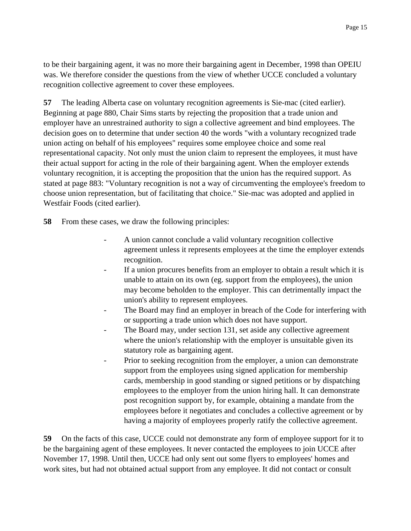to be their bargaining agent, it was no more their bargaining agent in December, 1998 than OPEIU was. We therefore consider the questions from the view of whether UCCE concluded a voluntary recognition collective agreement to cover these employees.

**57** The leading Alberta case on voluntary recognition agreements is Sie-mac (cited earlier). Beginning at page 880, Chair Sims starts by rejecting the proposition that a trade union and employer have an unrestrained authority to sign a collective agreement and bind employees. The decision goes on to determine that under section 40 the words "with a voluntary recognized trade union acting on behalf of his employees" requires some employee choice and some real representational capacity. Not only must the union claim to represent the employees, it must have their actual support for acting in the role of their bargaining agent. When the employer extends voluntary recognition, it is accepting the proposition that the union has the required support. As stated at page 883: "Voluntary recognition is not a way of circumventing the employee's freedom to choose union representation, but of facilitating that choice." Sie-mac was adopted and applied in Westfair Foods (cited earlier).

**58** From these cases, we draw the following principles:

- A union cannot conclude a valid voluntary recognition collective agreement unless it represents employees at the time the employer extends recognition.
- If a union procures benefits from an employer to obtain a result which it is unable to attain on its own (eg. support from the employees), the union may become beholden to the employer. This can detrimentally impact the union's ability to represent employees.
- The Board may find an employer in breach of the Code for interfering with or supporting a trade union which does not have support.
- The Board may, under section 131, set aside any collective agreement where the union's relationship with the employer is unsuitable given its statutory role as bargaining agent.
- Prior to seeking recognition from the employer, a union can demonstrate support from the employees using signed application for membership cards, membership in good standing or signed petitions or by dispatching employees to the employer from the union hiring hall. It can demonstrate post recognition support by, for example, obtaining a mandate from the employees before it negotiates and concludes a collective agreement or by having a majority of employees properly ratify the collective agreement.

**59** On the facts of this case, UCCE could not demonstrate any form of employee support for it to be the bargaining agent of these employees. It never contacted the employees to join UCCE after November 17, 1998. Until then, UCCE had only sent out some flyers to employees' homes and work sites, but had not obtained actual support from any employee. It did not contact or consult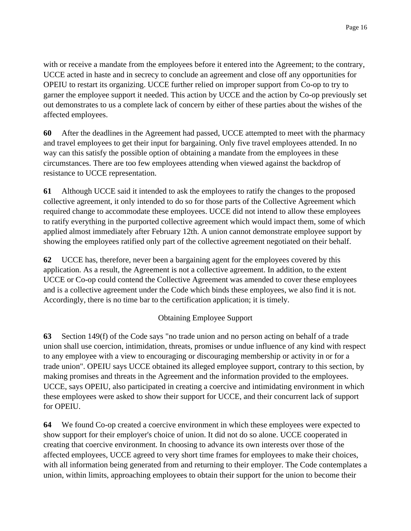with or receive a mandate from the employees before it entered into the Agreement; to the contrary, UCCE acted in haste and in secrecy to conclude an agreement and close off any opportunities for OPEIU to restart its organizing. UCCE further relied on improper support from Co-op to try to garner the employee support it needed. This action by UCCE and the action by Co-op previously set out demonstrates to us a complete lack of concern by either of these parties about the wishes of the affected employees.

**60** After the deadlines in the Agreement had passed, UCCE attempted to meet with the pharmacy and travel employees to get their input for bargaining. Only five travel employees attended. In no way can this satisfy the possible option of obtaining a mandate from the employees in these circumstances. There are too few employees attending when viewed against the backdrop of resistance to UCCE representation.

**61** Although UCCE said it intended to ask the employees to ratify the changes to the proposed collective agreement, it only intended to do so for those parts of the Collective Agreement which required change to accommodate these employees. UCCE did not intend to allow these employees to ratify everything in the purported collective agreement which would impact them, some of which applied almost immediately after February 12th. A union cannot demonstrate employee support by showing the employees ratified only part of the collective agreement negotiated on their behalf.

**62** UCCE has, therefore, never been a bargaining agent for the employees covered by this application. As a result, the Agreement is not a collective agreement. In addition, to the extent UCCE or Co-op could contend the Collective Agreement was amended to cover these employees and is a collective agreement under the Code which binds these employees, we also find it is not. Accordingly, there is no time bar to the certification application; it is timely.

# Obtaining Employee Support

**63** Section 149(f) of the Code says "no trade union and no person acting on behalf of a trade union shall use coercion, intimidation, threats, promises or undue influence of any kind with respect to any employee with a view to encouraging or discouraging membership or activity in or for a trade union". OPEIU says UCCE obtained its alleged employee support, contrary to this section, by making promises and threats in the Agreement and the information provided to the employees. UCCE, says OPEIU, also participated in creating a coercive and intimidating environment in which these employees were asked to show their support for UCCE, and their concurrent lack of support for OPEIU.

**64** We found Co-op created a coercive environment in which these employees were expected to show support for their employer's choice of union. It did not do so alone. UCCE cooperated in creating that coercive environment. In choosing to advance its own interests over those of the affected employees, UCCE agreed to very short time frames for employees to make their choices, with all information being generated from and returning to their employer. The Code contemplates a union, within limits, approaching employees to obtain their support for the union to become their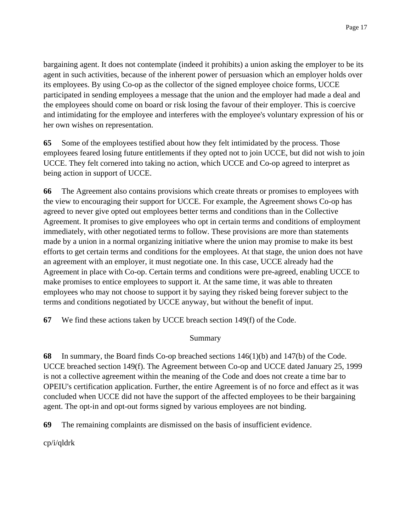bargaining agent. It does not contemplate (indeed it prohibits) a union asking the employer to be its agent in such activities, because of the inherent power of persuasion which an employer holds over its employees. By using Co-op as the collector of the signed employee choice forms, UCCE participated in sending employees a message that the union and the employer had made a deal and the employees should come on board or risk losing the favour of their employer. This is coercive and intimidating for the employee and interferes with the employee's voluntary expression of his or her own wishes on representation.

**65** Some of the employees testified about how they felt intimidated by the process. Those employees feared losing future entitlements if they opted not to join UCCE, but did not wish to join UCCE. They felt cornered into taking no action, which UCCE and Co-op agreed to interpret as being action in support of UCCE.

**66** The Agreement also contains provisions which create threats or promises to employees with the view to encouraging their support for UCCE. For example, the Agreement shows Co-op has agreed to never give opted out employees better terms and conditions than in the Collective Agreement. It promises to give employees who opt in certain terms and conditions of employment immediately, with other negotiated terms to follow. These provisions are more than statements made by a union in a normal organizing initiative where the union may promise to make its best efforts to get certain terms and conditions for the employees. At that stage, the union does not have an agreement with an employer, it must negotiate one. In this case, UCCE already had the Agreement in place with Co-op. Certain terms and conditions were pre-agreed, enabling UCCE to make promises to entice employees to support it. At the same time, it was able to threaten employees who may not choose to support it by saying they risked being forever subject to the terms and conditions negotiated by UCCE anyway, but without the benefit of input.

**67** We find these actions taken by UCCE breach section 149(f) of the Code.

# Summary

**68** In summary, the Board finds Co-op breached sections 146(1)(b) and 147(b) of the Code. UCCE breached section 149(f). The Agreement between Co-op and UCCE dated January 25, 1999 is not a collective agreement within the meaning of the Code and does not create a time bar to OPEIU's certification application. Further, the entire Agreement is of no force and effect as it was concluded when UCCE did not have the support of the affected employees to be their bargaining agent. The opt-in and opt-out forms signed by various employees are not binding.

**69** The remaining complaints are dismissed on the basis of insufficient evidence.

cp/i/qldrk